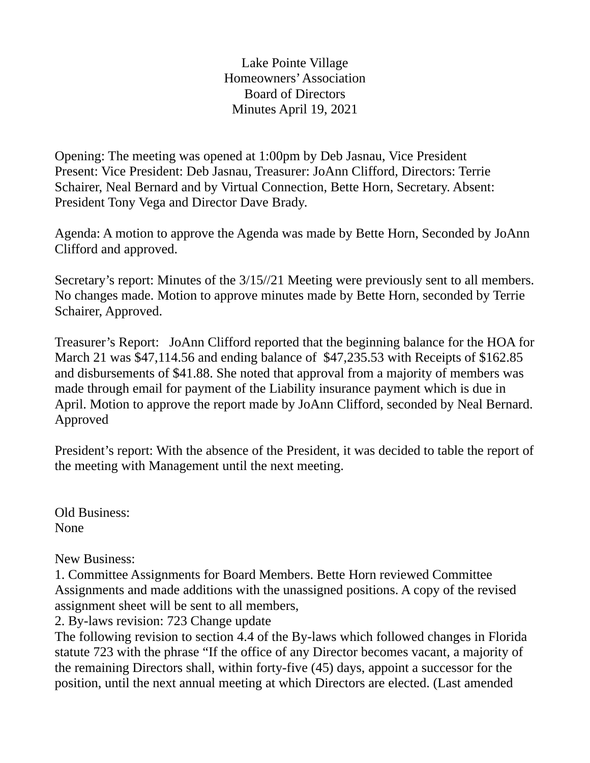Lake Pointe Village Homeowners' Association Board of Directors Minutes April 19, 2021

Opening: The meeting was opened at 1:00pm by Deb Jasnau, Vice President Present: Vice President: Deb Jasnau, Treasurer: JoAnn Clifford, Directors: Terrie Schairer, Neal Bernard and by Virtual Connection, Bette Horn, Secretary. Absent: President Tony Vega and Director Dave Brady.

Agenda: A motion to approve the Agenda was made by Bette Horn, Seconded by JoAnn Clifford and approved.

Secretary's report: Minutes of the 3/15//21 Meeting were previously sent to all members. No changes made. Motion to approve minutes made by Bette Horn, seconded by Terrie Schairer, Approved.

Treasurer's Report: JoAnn Clifford reported that the beginning balance for the HOA for March 21 was \$47,114.56 and ending balance of \$47,235.53 with Receipts of \$162.85 and disbursements of \$41.88. She noted that approval from a majority of members was made through email for payment of the Liability insurance payment which is due in April. Motion to approve the report made by JoAnn Clifford, seconded by Neal Bernard. Approved

President's report: With the absence of the President, it was decided to table the report of the meeting with Management until the next meeting.

Old Business: None

New Business:

1. Committee Assignments for Board Members. Bette Horn reviewed Committee Assignments and made additions with the unassigned positions. A copy of the revised assignment sheet will be sent to all members,

2. By-laws revision: 723 Change update

The following revision to section 4.4 of the By-laws which followed changes in Florida statute 723 with the phrase "If the office of any Director becomes vacant, a majority of the remaining Directors shall, within forty-five (45) days, appoint a successor for the position, until the next annual meeting at which Directors are elected. (Last amended